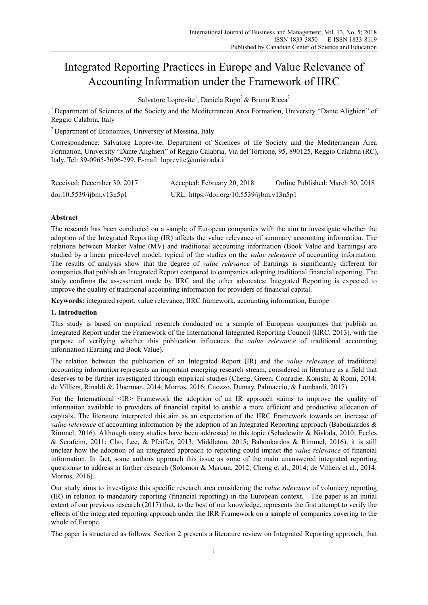# Integrated Reporting Practices in Europe and Value Relevance of Accounting Information under the Framework of IIRC

Salvatore Loprevite<sup>1</sup>, Daniela Rupo<sup>2</sup> & Bruno Ricca<sup>2</sup>

<sup>1</sup> Department of Sciences of the Society and the Mediterranean Area Formation, University "Dante Alighieri" of Reggio Calabria, Italy

<sup>2</sup> Department of Economics, University of Messina, Italy

Correspondence: Salvatore Loprevite, Department of Sciences of the Society and the Mediterranean Area Formation, University "Dante Alighieri" of Reggio Calabria, Via del Torrione, 95, 890125, Reggio Calabria (RC), Italy. Tel: 39-0965-3696-299. E-mail: loprevite@unistrada.it

| Received: December 30, 2017 | Accepted: February 20, 2018               | Online Published: March 30, 2018 |
|-----------------------------|-------------------------------------------|----------------------------------|
| doi:10.5539/jbm.v13n5p1     | URL: https://doi.org/10.5539/ijbm.v13n5p1 |                                  |

# **Abstract**

The research has been conducted on a sample of European companies with the aim to investigate whether the adoption of the Integrated Reporting (IR) affects the value relevance of summary accounting information. The relations between Market Value (MV) and traditional accounting information (Book Value and Earnings) are studied by a linear price-level model, typical of the studies on the *value relevance* of accounting information. The results of analysis show that the degree of *value relevance* of Earnings is significantly different for companies that publish an Integrated Report compared to companies adopting traditional financial reporting. The study confirms the assessment made by IIRC and the other advocates: Integrated Reporting is expected to improve the quality of traditional accounting information for providers of financial capital.

**Keywords:** integrated report, value relevance, IIRC framework, accounting information, Europe

# **1. Introduction**

This study is based on empirical research conducted on a sample of European companies that publish an Integrated Report under the Framework of the International Integrated Reporting Council (IIRC, 2013), with the purpose of verifying whether this publication influences the *value relevance* of traditional accounting information (Earning and Book Value).

The relation between the publication of an Integrated Report (IR) and the *value relevance* of traditional accounting information represents an important emerging research stream, considered in literature as a field that deserves to be further investigated through empirical studies (Cheng, Green, Conradie, Konishi, & Romi, 2014; de Villiers, Rinaldi &, Unerman, 2014; Morros, 2016; Cuozzo, Dumay, Palmaccio, & Lombardi, 2017)

For the International  $\langle IR \rangle$  Framework the adoption of an IR approach «aims to improve the quality of information available to providers of financial capital to enable a more efficient and productive allocation of capital». The literature interpreted this aim as an expectation of the IIRC Framework towards an increase of *value relevance* of accounting information by the adoption of an Integrated Reporting approach (Baboukardos & Rimmel, 2016). Although many studies have been addressed to this topic (Schadewitz & Niskala, 2010; Eccles & Serafeim, 2011; Cho, Lee, & Pfeiffer, 2013; Middleton, 2015; Baboukardos & Rimmel, 2016), it is still unclear how the adoption of an integrated approach to reporting could impact the *value relevance* of financial information. In fact, some authors approach this issue as «one of the main unanswered integrated reporting questions» to address in further research (Solomon & Maroun, 2012; Cheng et al., 2014; de Villiers et al., 2014; Morros, 2016).

Our study aims to investigate this specific research area considering the *value relevance* of voluntary reporting (IR) in relation to mandatory reporting (financial reporting) in the European context. The paper is an initial extent of our previous research (2017) that, to the best of our knowledge, represents the first attempt to verify the effects of the integrated reporting approach under the IRR Framework on a sample of companies covering to the whole of Europe.

The paper is structured as follows. Section 2 presents a literature review on Integrated Reporting approach, that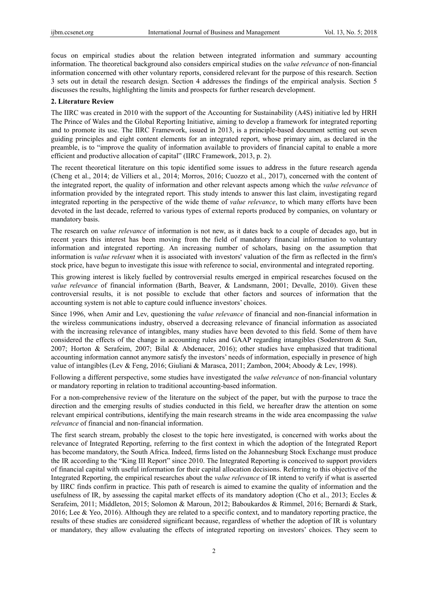focus on empirical studies about the relation between integrated information and summary accounting information. The theoretical background also considers empirical studies on the *value relevance* of non-financial information concerned with other voluntary reports, considered relevant for the purpose of this research. Section 3 sets out in detail the research design. Section 4 addresses the findings of the empirical analysis. Section 5 discusses the results, highlighting the limits and prospects for further research development.

#### **2. Literature Review**

The IIRC was created in 2010 with the support of the Accounting for Sustainability (A4S) initiative led by HRH The Prince of Wales and the Global Reporting Initiative, aiming to develop a framework for integrated reporting and to promote its use. The IIRC Framework, issued in 2013, is a principle-based document setting out seven guiding principles and eight content elements for an integrated report, whose primary aim, as declared in the preamble, is to "improve the quality of information available to providers of financial capital to enable a more efficient and productive allocation of capital" (IIRC Framework, 2013, p. 2).

The recent theoretical literature on this topic identified some issues to address in the future research agenda (Cheng et al., 2014; de Villiers et al., 2014; Morros, 2016; Cuozzo et al., 2017), concerned with the content of the integrated report, the quality of information and other relevant aspects among which the *value relevance* of information provided by the integrated report. This study intends to answer this last claim, investigating regard integrated reporting in the perspective of the wide theme of *value relevance*, to which many efforts have been devoted in the last decade, referred to various types of external reports produced by companies, on voluntary or mandatory basis.

The research on *value relevance* of information is not new, as it dates back to a couple of decades ago, but in recent years this interest has been moving from the field of mandatory financial information to voluntary information and integrated reporting. An increasing number of scholars, basing on the assumption that information is *value relevant* when it is associated with investors' valuation of the firm as reflected in the firm's stock price, have begun to investigate this issue with reference to social, environmental and integrated reporting.

This growing interest is likely fuelled by controversial results emerged in empirical researches focused on the *value relevance* of financial information (Barth, Beaver, & Landsmann, 2001; Devalle, 2010). Given these controversial results, it is not possible to exclude that other factors and sources of information that the accounting system is not able to capture could influence investors' choices.

Since 1996, when Amir and Lev, questioning the *value relevance* of financial and non-financial information in the wireless communications industry, observed a decreasing relevance of financial information as associated with the increasing relevance of intangibles, many studies have been devoted to this field. Some of them have considered the effects of the change in accounting rules and GAAP regarding intangibles (Soderstrom & Sun, 2007; Horton & Serafeim, 2007; Bilal & Abdenacer, 2016); other studies have emphasized that traditional accounting information cannot anymore satisfy the investors' needs of information, especially in presence of high value of intangibles (Lev & Feng, 2016; Giuliani & Marasca, 2011; Zambon, 2004; Aboody & Lev, 1998).

Following a different perspective, some studies have investigated the *value relevance* of non-financial voluntary or mandatory reporting in relation to traditional accounting-based information.

For a non-comprehensive review of the literature on the subject of the paper, but with the purpose to trace the direction and the emerging results of studies conducted in this field, we hereafter draw the attention on some relevant empirical contributions, identifying the main research streams in the wide area encompassing the *value relevance* of financial and non-financial information.

The first search stream, probably the closest to the topic here investigated, is concerned with works about the relevance of Integrated Reporting, referring to the first context in which the adoption of the Integrated Report has become mandatory, the South Africa. Indeed, firms listed on the Johannesburg Stock Exchange must produce the IR according to the "King III Report" since 2010. The Integrated Reporting is conceived to support providers of financial capital with useful information for their capital allocation decisions. Referring to this objective of the Integrated Reporting, the empirical researches about the *value relevance* of IR intend to verify if what is asserted by IIRC finds confirm in practice. This path of research is aimed to examine the quality of information and the usefulness of IR, by assessing the capital market effects of its mandatory adoption (Cho et al., 2013; Eccles & Serafeim, 2011; Middleton, 2015; Solomon & Maroun, 2012; Baboukardos & Rimmel, 2016; Bernardi & Stark, 2016; Lee & Yeo, 2016). Although they are related to a specific context, and to mandatory reporting practice, the results of these studies are considered significant because, regardless of whether the adoption of IR is voluntary or mandatory, they allow evaluating the effects of integrated reporting on investors' choices. They seem to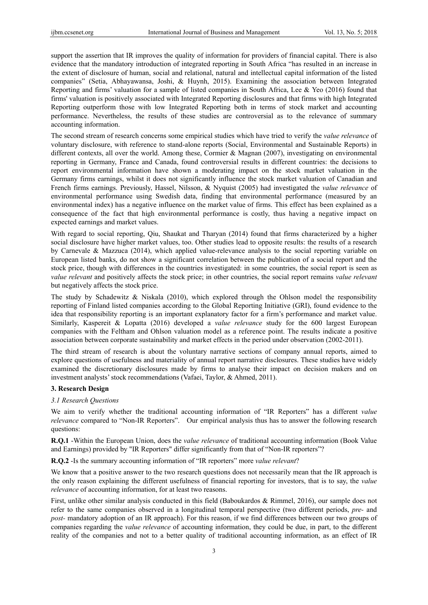support the assertion that IR improves the quality of information for providers of financial capital. There is also evidence that the mandatory introduction of integrated reporting in South Africa "has resulted in an increase in the extent of disclosure of human, social and relational, natural and intellectual capital information of the listed companies" (Setia, Abhayawansa, Joshi, & Huynh, 2015). Examining the association between Integrated Reporting and firms' valuation for a sample of listed companies in South Africa, Lee & Yeo (2016) found that firms' valuation is positively associated with Integrated Reporting disclosures and that firms with high Integrated Reporting outperform those with low Integrated Reporting both in terms of stock market and accounting performance. Nevertheless, the results of these studies are controversial as to the relevance of summary accounting information.

The second stream of research concerns some empirical studies which have tried to verify the *value relevance* of voluntary disclosure, with reference to stand-alone reports (Social, Environmental and Sustainable Reports) in different contexts, all over the world. Among these, Cormier & Magnan (2007), investigating on environmental reporting in Germany, France and Canada, found controversial results in different countries: the decisions to report environmental information have shown a moderating impact on the stock market valuation in the Germany firms earnings, whilst it does not significantly influence the stock market valuation of Canadian and French firms earnings. Previously, Hassel, Nilsson, & Nyquist (2005) had investigated the *value relevance* of environmental performance using Swedish data, finding that environmental performance (measured by an environmental index) has a negative influence on the market value of firms. This effect has been explained as a consequence of the fact that high environmental performance is costly, thus having a negative impact on expected earnings and market values.

With regard to social reporting, Qiu, Shaukat and Tharyan (2014) found that firms characterized by a higher social disclosure have higher market values, too. Other studies lead to opposite results: the results of a research by Carnevale & Mazzuca (2014), which applied value-relevance analysis to the social reporting variable on European listed banks, do not show a significant correlation between the publication of a social report and the stock price, though with differences in the countries investigated: in some countries, the social report is seen as *value relevant* and positively affects the stock price; in other countries, the social report remains *value relevant* but negatively affects the stock price.

The study by Schadewitz & Niskala (2010), which explored through the Ohlson model the responsibility reporting of Finland listed companies according to the Global Reporting Initiative (GRI), found evidence to the idea that responsibility reporting is an important explanatory factor for a firm's performance and market value. Similarly, Kaspereit & Lopatta (2016) developed a *value relevance* study for the 600 largest European companies with the Feltham and Ohlson valuation model as a reference point. The results indicate a positive association between corporate sustainability and market effects in the period under observation (2002-2011).

The third stream of research is about the voluntary narrative sections of company annual reports, aimed to explore questions of usefulness and materiality of annual report narrative disclosures. These studies have widely examined the discretionary disclosures made by firms to analyse their impact on decision makers and on investment analysts' stock recommendations (Vafaei, Taylor, & Ahmed, 2011).

## **3. Research Design**

#### *3.1 Research Questions*

We aim to verify whether the traditional accounting information of "IR Reporters" has a different *value relevance* compared to "Non-IR Reporters". Our empirical analysis thus has to answer the following research questions:

**R.Q.1** -Within the European Union, does the *value relevance* of traditional accounting information (Book Value and Earnings) provided by "IR Reporters" differ significantly from that of "Non-IR reporters"?

**R.Q.2** -Is the summary accounting information of "IR reporters" more *value relevant*?

We know that a positive answer to the two research questions does not necessarily mean that the IR approach is the only reason explaining the different usefulness of financial reporting for investors, that is to say, the *value relevance* of accounting information, for at least two reasons.

First, unlike other similar analysis conducted in this field (Baboukardos & Rimmel, 2016), our sample does not refer to the same companies observed in a longitudinal temporal perspective (two different periods, *pre-* and *post-* mandatory adoption of an IR approach). For this reason, if we find differences between our two groups of companies regarding the *value relevance* of accounting information, they could be due, in part, to the different reality of the companies and not to a better quality of traditional accounting information, as an effect of IR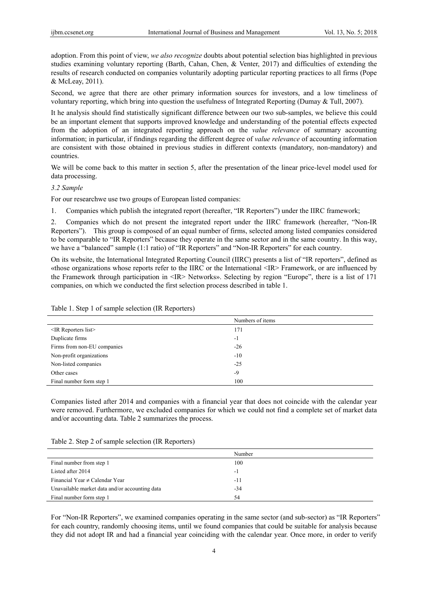adoption. From this point of view, *we also recognize* doubts about potential selection bias highlighted in previous studies examining voluntary reporting (Barth, Cahan, Chen, & Venter, 2017) and difficulties of extending the results of research conducted on companies voluntarily adopting particular reporting practices to all firms (Pope & McLeay, 2011).

Second, we agree that there are other primary information sources for investors, and a low timeliness of voluntary reporting, which bring into question the usefulness of Integrated Reporting (Dumay & Tull, 2007).

It he analysis should find statistically significant difference between our two sub-samples, we believe this could be an important element that supports improved knowledge and understanding of the potential effects expected from the adoption of an integrated reporting approach on the *value relevance* of summary accounting information; in particular, if findings regarding the different degree of *value relevance* of accounting information are consistent with those obtained in previous studies in different contexts (mandatory, non-mandatory) and countries.

We will be come back to this matter in section 5, after the presentation of the linear price-level model used for data processing.

# *3.2 Sample*

For our researchwe use two groups of European listed companies:

1. Companies which publish the integrated report (hereafter, "IR Reporters") under the IIRC framework;

2. Companies which do not present the integrated report under the IIRC framework (hereafter, "Non-IR Reporters"). This group is composed of an equal number of firms, selected among listed companies considered to be comparable to "IR Reporters" because they operate in the same sector and in the same country. In this way, we have a "balanced" sample (1:1 ratio) of "IR Reporters" and "Non-IR Reporters" for each country.

On its website, the International Integrated Reporting Council (IIRC) presents a list of "IR reporters", defined as «those organizations whose reports refer to the IIRC or the International <IR> Framework, or are influenced by the Framework through participation in <IR> Networks». Selecting by region "Europe", there is a list of 171 companies, on which we conducted the first selection process described in table 1.

|                              | Numbers of items |
|------------------------------|------------------|
| $\leq$ IR Reporters list $>$ | 171              |
| Duplicate firms              | $-1$             |
| Firms from non-EU companies  | $-26$            |
| Non-profit organizations     | $-10$            |
| Non-listed companies         | $-25$            |
| Other cases                  | -9               |
| Final number form step 1     | 100              |

Table 1. Step 1 of sample selection (IR Reporters)

Companies listed after 2014 and companies with a financial year that does not coincide with the calendar year were removed. Furthermore, we excluded companies for which we could not find a complete set of market data and/or accounting data. Table 2 summarizes the process.

|                                                | Number |
|------------------------------------------------|--------|
| Final number from step 1                       | 100    |
| Listed after 2014                              | - 1    |
| Financial Year $\neq$ Calendar Year            | -11    |
| Unavailable market data and/or accounting data | $-34$  |
| Final number form step 1                       | 54     |

For "Non-IR Reporters", we examined companies operating in the same sector (and sub-sector) as "IR Reporters" for each country, randomly choosing items, until we found companies that could be suitable for analysis because they did not adopt IR and had a financial year coinciding with the calendar year. Once more, in order to verify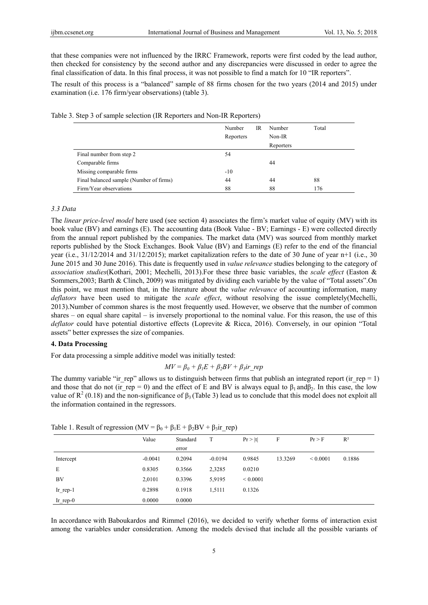that these companies were not influenced by the IRRC Framework, reports were first coded by the lead author, then checked for consistency by the second author and any discrepancies were discussed in order to agree the final classification of data. In this final process, it was not possible to find a match for 10 "IR reporters".

The result of this process is a "balanced" sample of 88 firms chosen for the two years (2014 and 2015) under examination (i.e. 176 firm/year observations) (table 3).

Table 3. Step 3 of sample selection (IR Reporters and Non-IR Reporters)

| Number    | IR | Number    | Total |
|-----------|----|-----------|-------|
| Reporters |    | Non-IR    |       |
|           |    | Reporters |       |
| 54        |    |           |       |
|           |    | 44        |       |
| $-10$     |    |           |       |
| 44        |    | 44        | 88    |
| 88        |    | 88        | 176   |
|           |    |           |       |

## *3.3 Data*

The *linear price-level model* here used (see section 4) associates the firm's market value of equity (MV) with its book value (BV) and earnings (E). The accounting data (Book Value - BV; Earnings - E) were collected directly from the annual report published by the companies. The market data (MV) was sourced from monthly market reports published by the Stock Exchanges. Book Value (BV) and Earnings (E) refer to the end of the financial year (i.e., 31/12/2014 and 31/12/2015); market capitalization refers to the date of 30 June of year n+1 (i.e., 30 June 2015 and 30 June 2016). This date is frequently used in *value relevance* studies belonging to the category of *association studies*(Kothari, 2001; Mechelli, 2013).For these three basic variables, the *scale effect* (Easton & Sommers,2003; Barth & Clinch, 2009) was mitigated by dividing each variable by the value of "Total assets".On this point, we must mention that, in the literature about the *value relevance* of accounting information, many *deflators* have been used to mitigate the *scale effect*, without resolving the issue completely(Mechelli, 2013).Number of common shares is the most frequently used. However, we observe that the number of common shares – on equal share capital – is inversely proportional to the nominal value. For this reason, the use of this *deflator* could have potential distortive effects (Loprevite & Ricca, 2016). Conversely, in our opinion "Total assets" better expresses the size of companies.

#### **4. Data Processing**

For data processing a simple additive model was initially tested:

$$
MV = \beta_0 + \beta_1 E + \beta_2 BV + \beta_3 ir\_rep
$$

The dummy variable "ir rep" allows us to distinguish between firms that publish an integrated report (ir rep = 1) and those that do not (ir rep = 0) and the effect of E and BV is always equal to  $\beta_1$  and $\beta_2$ . In this case, the low value of  $R^2$  (0.18) and the non-significance of  $\beta_3$  (Table 3) lead us to conclude that this model does not exploit all the information contained in the regressors.

|             | Value     | Standard<br>error | T         | Pr >  t      | F       | Pr > F        | $R^2$  |
|-------------|-----------|-------------------|-----------|--------------|---------|---------------|--------|
| Intercept   | $-0.0041$ | 0.2094            | $-0.0194$ | 0.9845       | 13.3269 | ${}_{0.0001}$ | 0.1886 |
| E           | 0.8305    | 0.3566            | 2,3285    | 0.0210       |         |               |        |
| BV          | 2,0101    | 0.3396            | 5,9195    | ${}< 0.0001$ |         |               |        |
| Ir rep- $1$ | 0.2898    | 0.1918            | 1,5111    | 0.1326       |         |               |        |
| Ir $rep-0$  | 0.0000    | 0.0000            |           |              |         |               |        |

Table 1. Result of regression (MV =  $\beta_0 + \beta_1 E + \beta_2 BV + \beta_3 ir$  rep)

In accordance with Baboukardos and Rimmel (2016), we decided to verify whether forms of interaction exist among the variables under consideration. Among the models devised that include all the possible variants of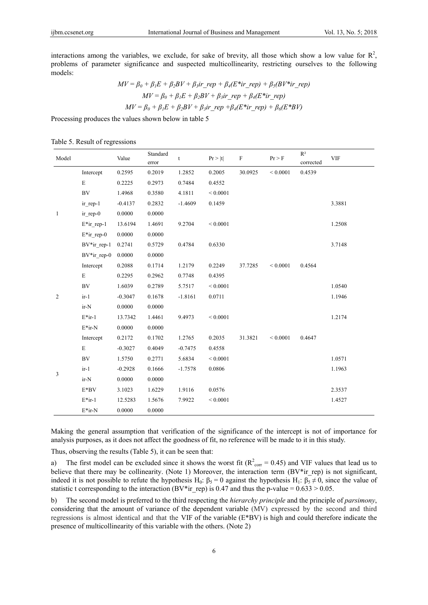interactions among the variables, we exclude, for sake of brevity, all those which show a low value for  $\mathbb{R}^2$ , problems of parameter significance and suspected multicollinearity, restricting ourselves to the following models:

$$
MV = \beta_0 + \beta_1 E + \beta_2 BV + \beta_3 ir\_rep + \beta_4 (E^*ir\_rep) + \beta_5 (BV^*ir\_rep)
$$

$$
MV = \beta_0 + \beta_1 E + \beta_2 BV + \beta_3 ir\_rep + \beta_4 (E^*ir\_rep)
$$

$$
MV = \beta_0 + \beta_1 E + \beta_2 BV + \beta_3 ir\_rep + \beta_4 (E^*ir\_rep) + \beta_6 (E^*BV)
$$

Processing produces the values shown below in table 5

|  | Table 5. Result of regressions |
|--|--------------------------------|
|  |                                |

| Model        |                | Value     | Standard<br>error | $\mathbf t$ | Pr >  t      | $\boldsymbol{\mathrm{F}}$ | Pr > F       | $R^2$<br>corrected | <b>VIF</b> |
|--------------|----------------|-----------|-------------------|-------------|--------------|---------------------------|--------------|--------------------|------------|
|              | Intercept      | 0.2595    | 0.2019            | 1.2852      | 0.2005       | 30.0925                   | ${}< 0.0001$ | 0.4539             |            |
|              | E              | 0.2225    | 0.2973            | 0.7484      | 0.4552       |                           |              |                    |            |
|              | <b>BV</b>      | 1.4968    | 0.3580            | 4.1811      | ${}< 0.0001$ |                           |              |                    |            |
|              | ir rep-1       | $-0.4137$ | 0.2832            | $-1.4609$   | 0.1459       |                           |              |                    | 3.3881     |
| $\mathbf{1}$ | $ir$ rep- $0$  | 0.0000    | 0.0000            |             |              |                           |              |                    |            |
|              | $E^*$ ir rep-1 | 13.6194   | 1.4691            | 9.2704      | ${}< 0.0001$ |                           |              |                    | 1.2508     |
|              | $E^*$ ir rep-0 | 0.0000    | 0.0000            |             |              |                           |              |                    |            |
|              | $BV^*ir$ rep-1 | 0.2741    | 0.5729            | 0.4784      | 0.6330       |                           |              |                    | 3.7148     |
|              | $BV*ir rep-0$  | 0.0000    | 0.0000            |             |              |                           |              |                    |            |
|              | Intercept      | 0.2088    | 0.1714            | 1.2179      | 0.2249       | 37.7285                   | ${}< 0.0001$ | 0.4564             |            |
|              | E              | 0.2295    | 0.2962            | 0.7748      | 0.4395       |                           |              |                    |            |
|              | ${\rm BV}$     | 1.6039    | 0.2789            | 5.7517      | ${}< 0.0001$ |                           |              |                    | 1.0540     |
| 2            | $ir-1$         | $-0.3047$ | 0.1678            | $-1.8161$   | 0.0711       |                           |              |                    | 1.1946     |
|              | $\text{ir-}N$  | 0.0000    | 0.0000            |             |              |                           |              |                    |            |
|              | $E^*$ ir-1     | 13.7342   | 1.4461            | 9.4973      | ${}< 0.0001$ |                           |              |                    | 1.2174     |
|              | $E^*$ ir-N     | 0.0000    | 0.0000            |             |              |                           |              |                    |            |
|              | Intercept      | 0.2172    | 0.1702            | 1.2765      | 0.2035       | 31.3821                   | ${}< 0.0001$ | 0.4647             |            |
|              | E              | $-0.3027$ | 0.4049            | $-0.7475$   | 0.4558       |                           |              |                    |            |
|              | ${\rm BV}$     | 1.5750    | 0.2771            | 5.6834      | ${}< 0.0001$ |                           |              |                    | 1.0571     |
| 3            | $ir-1$         | $-0.2928$ | 0.1666            | $-1.7578$   | 0.0806       |                           |              |                    | 1.1963     |
|              | $ir-N$         | 0.0000    | 0.0000            |             |              |                           |              |                    |            |
|              | $E*BV$         | 3.1023    | 1.6229            | 1.9116      | 0.0576       |                           |              |                    | 2.3537     |
|              | $E^*$ ir-1     | 12.5283   | 1.5676            | 7.9922      | ${}< 0.0001$ |                           |              |                    | 1.4527     |
|              | $E^*$ ir-N     | 0.0000    | 0.0000            |             |              |                           |              |                    |            |

Making the general assumption that verification of the significance of the intercept is not of importance for analysis purposes, as it does not affect the goodness of fit, no reference will be made to it in this study.

Thus, observing the results (Table 5), it can be seen that:

a) The first model can be excluded since it shows the worst fit ( $R^2_{corr} = 0.45$ ) and VIF values that lead us to believe that there may be collinearity. (Note 1) Moreover, the interaction term  $(BV^*ir\text{ rep})$  is not significant, indeed it is not possible to refute the hypothesis H<sub>0</sub>:  $\beta_5 = 0$  against the hypothesis H<sub>1</sub>:  $\beta_5 \neq 0$ , since the value of statistic t corresponding to the interaction (BV\*ir\_rep) is 0.47 and thus the p-value =  $0.633 > 0.05$ .

b) The second model is preferred to the third respecting the *hierarchy principle* and the principle of *parsimony*, considering that the amount of variance of the dependent variable (MV) expressed by the second and third regressions is almost identical and that the VIF of the variable (E\*BV) is high and could therefore indicate the presence of multicollinearity of this variable with the others. (Note 2)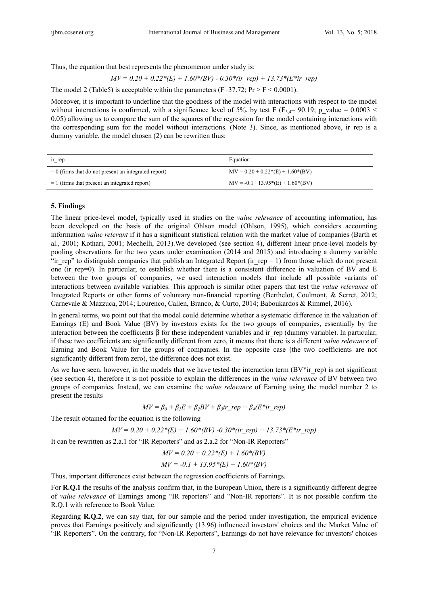Thus, the equation that best represents the phenomenon under study is:

$$
MV = 0.20 + 0.22*(E) + 1.60*(BV) - 0.30*(ir\_rep) + 13.73*(E*ir\_rep)
$$

The model 2 (Table5) is acceptable within the parameters (F=37.72;  $Pr > F < 0.0001$ ).

Moreover, it is important to underline that the goodness of the model with interactions with respect to the model without interactions is confirmed, with a significance level of 5%, by test F ( $F_{3,4}$ = 90.19; p\_value = 0.0003 < 0.05) allowing us to compare the sum of the squares of the regression for the model containing interactions with the corresponding sum for the model without interactions. (Note 3). Since, as mentioned above, ir rep is a dummy variable, the model chosen (2) can be rewritten thus:

| ir rep                                                 | Equation                            |
|--------------------------------------------------------|-------------------------------------|
| $= 0$ (firms that do not present an integrated report) | $MV = 0.20 + 0.22*(E) + 1.60*(BV)$  |
| $= 1$ (firms that present an integrated report)        | $MV = -0.1 + 13.95*(E) + 1.60*(BV)$ |

#### **5. Findings**

The linear price-level model, typically used in studies on the *value relevance* of accounting information, has been developed on the basis of the original Ohlson model (Ohlson, 1995), which considers accounting information *value relevant* if it has a significant statistical relation with the market value of companies (Barth et al., 2001; Kothari, 2001; Mechelli, 2013).We developed (see section 4), different linear price-level models by pooling observations for the two years under examination (2014 and 2015) and introducing a dummy variable "ir rep" to distinguish companies that publish an Integrated Report (ir rep  $= 1$ ) from those which do not present one (ir rep=0). In particular, to establish whether there is a consistent difference in valuation of BV and E between the two groups of companies, we used interaction models that include all possible variants of interactions between available variables. This approach is similar other papers that test the *value relevance* of Integrated Reports or other forms of voluntary non-financial reporting (Berthelot, Coulmont, & Serret, 2012; Carnevale & Mazzuca, 2014; Lourenco, Callen, Branco, & Curto, 2014; Baboukardos & Rimmel, 2016).

In general terms, we point out that the model could determine whether a systematic difference in the valuation of Earnings (E) and Book Value (BV) by investors exists for the two groups of companies, essentially by the interaction between the coefficients  $β$  for these independent variables and ir rep (dummy variable). In particular, if these two coefficients are significantly different from zero, it means that there is a different *value relevance* of Earning and Book Value for the groups of companies. In the opposite case (the two coefficients are not significantly different from zero), the difference does not exist.

As we have seen, however, in the models that we have tested the interaction term  $(BV^*ir\text{ rep})$  is not significant (see section 4), therefore it is not possible to explain the differences in the *value relevance* of BV between two groups of companies. Instead, we can examine the *value relevance* of Earning using the model number 2 to present the results

$$
MV = \beta_0 + \beta_1 E + \beta_2 BV + \beta_3 ir\_rep + \beta_4(E^*ir\_rep)
$$

The result obtained for the equation is the following

$$
MV = 0.20 + 0.22*(E) + 1.60*(BV) - 0.30*(ir \text{ rep}) + 13.73*(E*ir \text{ rep})
$$

It can be rewritten as 2.a.1 for "IR Reporters" and as 2.a.2 for "Non-IR Reporters"

$$
MV = 0.20 + 0.22*(E) + 1.60*(BV)
$$
  

$$
MV = -0.1 + 13.95*(E) + 1.60*(BV)
$$

Thus, important differences exist between the regression coefficients of Earnings.

For **R.Q.1** the results of the analysis confirm that, in the European Union, there is a significantly different degree of *value relevance* of Earnings among "IR reporters" and "Non-IR reporters". It is not possible confirm the R.Q.1 with reference to Book Value.

Regarding **R.Q.2**, we can say that, for our sample and the period under investigation, the empirical evidence proves that Earnings positively and significantly (13.96) influenced investors' choices and the Market Value of "IR Reporters". On the contrary, for "Non-IR Reporters", Earnings do not have relevance for investors' choices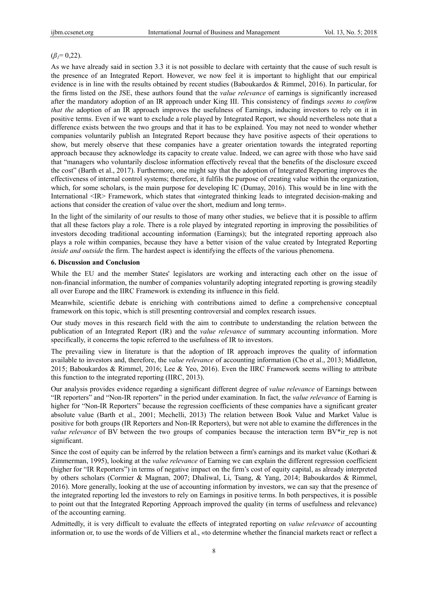## $(\beta_i=0,22)$ .

As we have already said in section 3.3 it is not possible to declare with certainty that the cause of such result is the presence of an Integrated Report. However, we now feel it is important to highlight that our empirical evidence is in line with the results obtained by recent studies (Baboukardos & Rimmel, 2016). In particular, for the firms listed on the JSE, these authors found that the *value relevance* of earnings is significantly increased after the mandatory adoption of an IR approach under King III. This consistency of findings *seems to confirm that the* adoption of an IR approach improves the usefulness of Earnings, inducing investors to rely on it in positive terms. Even if we want to exclude a role played by Integrated Report, we should nevertheless note that a difference exists between the two groups and that it has to be explained. You may not need to wonder whether companies voluntarily publish an Integrated Report because they have positive aspects of their operations to show, but merely observe that these companies have a greater orientation towards the integrated reporting approach because they acknowledge its capacity to create value. Indeed, we can agree with those who have said that "managers who voluntarily disclose information effectively reveal that the benefits of the disclosure exceed the cost" (Barth et al., 2017). Furthermore, one might say that the adoption of Integrated Reporting improves the effectiveness of internal control systems; therefore, it fulfils the purpose of creating value within the organization, which, for some scholars, is the main purpose for developing IC (Dumay, 2016). This would be in line with the International <IR> Framework, which states that «integrated thinking leads to integrated decision-making and actions that consider the creation of value over the short, medium and long term».

In the light of the similarity of our results to those of many other studies, we believe that it is possible to affirm that all these factors play a role. There is a role played by integrated reporting in improving the possibilities of investors decoding traditional accounting information (Earnings); but the integrated reporting approach also plays a role within companies, because they have a better vision of the value created by Integrated Reporting *inside and outside* the firm. The hardest aspect is identifying the effects of the various phenomena.

# **6. Discussion and Conclusion**

While the EU and the member States' legislators are working and interacting each other on the issue of non-financial information, the number of companies voluntarily adopting integrated reporting is growing steadily all over Europe and the IIRC Framework is extending its influence in this field.

Meanwhile, scientific debate is enriching with contributions aimed to define a comprehensive conceptual framework on this topic, which is still presenting controversial and complex research issues.

Our study moves in this research field with the aim to contribute to understanding the relation between the publication of an Integrated Report (IR) and the *value relevance* of summary accounting information. More specifically, it concerns the topic referred to the usefulness of IR to investors.

The prevailing view in literature is that the adoption of IR approach improves the quality of information available to investors and, therefore, the *value relevance* of accounting information (Cho et al., 2013; Middleton, 2015; Baboukardos & Rimmel, 2016; Lee & Yeo, 2016). Even the IIRC Framework seems willing to attribute this function to the integrated reporting (IIRC, 2013).

Our analysis provides evidence regarding a significant different degree of *value relevance* of Earnings between "IR reporters" and "Non-IR reporters" in the period under examination. In fact, the *value relevance* of Earning is higher for "Non-IR Reporters" because the regression coefficients of these companies have a significant greater absolute value (Barth et al., 2001; Mechelli, 2013) The relation between Book Value and Market Value is positive for both groups (IR Reporters and Non-IR Reporters), but were not able to examine the differences in the *value relevance* of BV between the two groups of companies because the interaction term BV\*ir rep is not significant.

Since the cost of equity can be inferred by the relation between a firm's earnings and its market value (Kothari  $\&$ Zimmerman, 1995), looking at the *value relevance* of Earning we can explain the different regression coefficient (higher for "IR Reporters") in terms of negative impact on the firm's cost of equity capital, as already interpreted by others scholars (Cormier & Magnan, 2007; Dhaliwal, Li, Tsang, & Yang, 2014; Baboukardos & Rimmel, 2016). More generally, looking at the use of accounting information by investors, we can say that the presence of the integrated reporting led the investors to rely on Earnings in positive terms. In both perspectives, it is possible to point out that the Integrated Reporting Approach improved the quality (in terms of usefulness and relevance) of the accounting earning.

Admittedly, it is very difficult to evaluate the effects of integrated reporting on *value relevance* of accounting information or, to use the words of de Villiers et al., «to determine whether the financial markets react or reflect a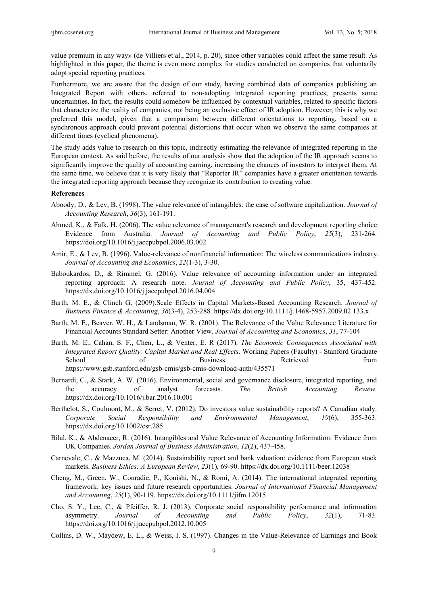value premium in any way» (de Villiers et al., 2014, p. 20), since other variables could affect the same result. As highlighted in this paper, the theme is even more complex for studies conducted on companies that voluntarily adopt special reporting practices.

Furthermore, we are aware that the design of our study, having combined data of companies publishing an Integrated Report with others, referred to non-adopting integrated reporting practices, presents some uncertainties. In fact, the results could somehow be influenced by contextual variables, related to specific factors that characterize the reality of companies, not being an exclusive effect of IR adoption. However, this is why we preferred this model, given that a comparison between different orientations to reporting, based on a synchronous approach could prevent potential distortions that occur when we observe the same companies at different times (cyclical phenomena).

The study adds value to research on this topic, indirectly estimating the relevance of integrated reporting in the European context. As said before, the results of our analysis show that the adoption of the IR approach seems to significantly improve the quality of accounting earning, increasing the chances of investors to interpret them. At the same time, we believe that it is very likely that "Reporter IR" companies have a greater orientation towards the integrated reporting approach because they recognize its contribution to creating value.

# **References**

- Aboody, D., & Lev, B. (1998). The value relevance of intangibles: the case of software capitalization. *Journal of Accounting Research*, *36*(3), 161-191.
- Ahmed, K., & Falk, H. (2006). The value relevance of management's research and development reporting choice: Evidence from Australia. *Journal of Accounting and Public Policy*, *25*(3), 231-264. https://doi.org/10.1016/j.jaccpubpol.2006.03.002
- Amir, E., & Lev, B. (1996). Value-relevance of nonfinancial information: The wireless communications industry. *Journal of Accounting and Economics*, *22*(1-3), 3-30.
- Baboukardos, D., & Rimmel, G. (2016). Value relevance of accounting information under an integrated reporting approach: A research note. *Journal of Accounting and Public Policy*, 35, 437-452. https://dx.doi.org/10.1016/j.jaccpubpol.2016.04.004
- Barth, M. E., & Clinch G. (2009).Scale Effects in Capital Markets-Based Accounting Research. *Journal of Business Finance & Accounting*, *36*(3-4), 253-288. https://dx.doi.org/10.1111/j.1468-5957.2009.02 133.x
- Barth, M. E., Beaver, W. H., & Landsman, W. R. (2001). The Relevance of the Value Relevance Literature for Financial Accounts Standard Setter: Another View. *Journal of Accounting and Economics*, *31*, 77-104
- Barth, M. E., Cahan, S. F., Chen, L., & Venter, E. R (2017). *The Economic Consequences Associated with Integrated Report Quality: Capital Market and Real Effects*. Working Papers (Faculty) - Stanford Graduate School of Business. Retrieved from https://www.gsb.stanford.edu/gsb-cmis/gsb-cmis-download-auth/435571
- Bernardi, C., & Stark, A. W. (2016). Environmental, social and governance disclosure, integrated reporting, and the accuracy of analyst forecasts. *The British Accounting Review*. https://dx.doi.org/10.1016/j.bar.2016.10.001
- Berthelot, S., Coulmont, M., & Serret, V. (2012). Do investors value sustainability reports? A Canadian study. *Corporate Social Responsibility and Environmental Management*, *19*(6), 355-363. https://dx.doi.org/10.1002/csr.285
- Bilal, K., & Abdenacer, R. (2016). Intangibles and Value Relevance of Accounting Information: Evidence from UK Companies. *Jordan Journal of Business Administration*, *12*(2), 437-458.
- Carnevale, C., & Mazzuca, M. (2014). Sustainability report and bank valuation: evidence from European stock markets. *Business Ethics: A European Review*, *23*(1), 69-90. https://dx.doi.org/10.1111/beer.12038
- Cheng, M., Green, W., Conradie, P., Konishi, N., & Romi, A. (2014). The international integrated reporting framework: key issues and future research opportunities. *Journal of International Financial Management and Accounting*, *25*(1), 90-119. https://dx.doi.org/10.1111/jifm.12015
- Cho, S. Y., Lee, C., & Pfeiffer, R. J. (2013). Corporate social responsibility performance and information asymmetry. *Journal of Accounting and Public Policy*, *32*(1), 71-83. https://doi.org/10.1016/j.jaccpubpol.2012.10.005
- Collins, D. W., Maydew, E. L., & Weiss, I. S. (1997). Changes in the Value-Relevance of Earnings and Book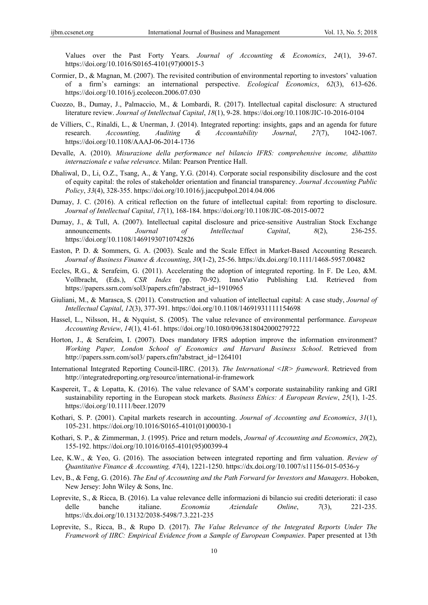Values over the Past Forty Years. *Journal of Accounting & Economics*, *24*(1), 39-67. https://doi.org/10.1016/S0165-4101(97)00015-3

- Cormier, D., & Magnan, M. (2007). The revisited contribution of environmental reporting to investors' valuation of a firm's earnings: an international perspective. *Ecological Economics*, *62*(3), 613-626. https://doi.org/10.1016/j.ecolecon.2006.07.030
- Cuozzo, B., Dumay, J., Palmaccio, M., & Lombardi, R. (2017). Intellectual capital disclosure: A structured literature review. *Journal of Intellectual Capital*, *18*(1), 9-28. https://doi.org/10.1108/JIC-10-2016-0104
- de Villiers, C., Rinaldi, L., & Unerman, J. (2014). Integrated reporting: insights, gaps and an agenda for future research. *Accounting, Auditing & Accountability Journal*, *27*(7), 1042-1067. https://doi.org/10.1108/AAAJ-06-2014-1736
- Devalle, A. (2010). *Misurazione della performance nel bilancio IFRS: comprehensive income, dibattito internazionale e value relevance*. Milan: Pearson Prentice Hall.
- Dhaliwal, D., Li, O.Z., Tsang, A., & Yang, Y.G. (2014). Corporate social responsibility disclosure and the cost of equity capital: the roles of stakeholder orientation and financial transparency. *Journal Accounting Public Policy*, *33*(4), 328-355. https://doi.org/10.1016/j.jaccpubpol.2014.04.006
- Dumay, J. C. (2016). A critical reflection on the future of intellectual capital: from reporting to disclosure. *Journal of Intellectual Capital*, *17*(1), 168-184. https://doi.org/10.1108/JIC-08-2015-0072
- Dumay, J., & Tull, A. (2007). Intellectual capital disclosure and price-sensitive Australian Stock Exchange announcements. *Journal of Intellectual Capital*, *8*(2), 236-255. https://doi.org/10.1108/14691930710742826
- Easton, P. D. & Sommers, G. A. (2003). Scale and the Scale Effect in Market-Based Accounting Research. *Journal of Business Finance & Accounting*, *30*(1-2), 25-56. https://dx.doi.org/10.1111/1468-5957.00482
- Eccles, R.G., & Serafeim, G. (2011). Accelerating the adoption of integrated reporting. In F. De Leo, &M. Vollbracht, (Eds.), *CSR Index* (pp. 70-92). InnoVatio Publishing Ltd. Retrieved from https://papers.ssrn.com/sol3/papers.cfm?abstract\_id=1910965
- Giuliani, M., & Marasca, S. (2011). Construction and valuation of intellectual capital: A case study, *Journal of Intellectual Capital*, *12*(3), 377-391. https://doi.org/10.1108/14691931111154698
- Hassel, L., Nilsson, H., & Nyquist, S. (2005). The value relevance of environmental performance. *European Accounting Review*, *14*(1), 41-61. https://doi.org/10.1080/0963818042000279722
- Horton, J., & Serafeim, I. (2007). Does mandatory IFRS adoption improve the information environment? *Working Paper, London School of Economics and Harvard Business School*. Retrieved from http://papers.ssrn.com/sol3/ papers.cfm?abstract\_id=1264101
- International Integrated Reporting Council-IIRC. (2013). *The International <IR> framework*. Retrieved from http://integratedreporting.org/resource/international-ir-framework
- Kaspereit, T., & Lopatta, K. (2016). The value relevance of SAM's corporate sustainability ranking and GRI sustainability reporting in the European stock markets. *Business Ethics: A European Review*, *25*(1), 1-25. https://doi.org/10.1111/beer.12079
- Kothari, S. P. (2001). Capital markets research in accounting. *Journal of Accounting and Economics*, *31*(1), 105-231. https://doi.org/10.1016/S0165-4101(01)00030-1
- Kothari, S. P., & Zimmerman, J. (1995). Price and return models, *Journal of Accounting and Economics*, *20*(2), 155-192. https://doi.org/10.1016/0165-4101(95)00399-4
- Lee, K.W., & Yeo, G. (2016). The association between integrated reporting and firm valuation. *Review of Quantitative Finance & Accounting, 47*(4), 1221-1250. https://dx.doi.org/10.1007/s11156-015-0536-y
- Lev, B., & Feng, G. (2016). *The End of Accounting and the Path Forward for Investors and Managers*. Hoboken, New Jersey: John Wiley & Sons, Inc.
- Loprevite, S., & Ricca, B. (2016). La value relevance delle informazioni di bilancio sui crediti deteriorati: il caso delle banche italiane. *Economia Aziendale Online*, *7*(3), 221-235. https://dx.doi.org/10.13132/2038-5498/7.3.221-235
- Loprevite, S., Ricca, B., & Rupo D. (2017). *The Value Relevance of the Integrated Reports Under The Framework of IIRC: Empirical Evidence from a Sample of European Companies*. Paper presented at 13th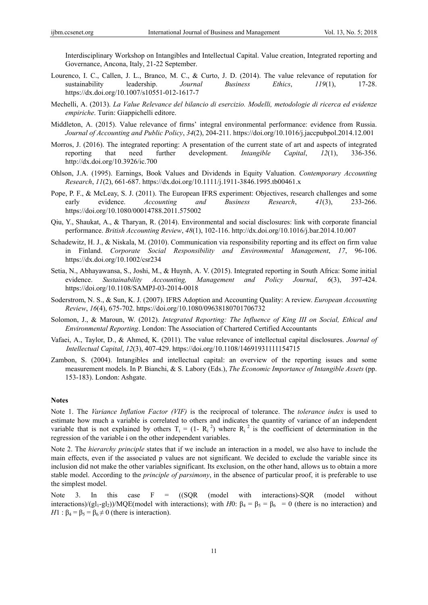Interdisciplinary Workshop on Intangibles and Intellectual Capital. Value creation, Integrated reporting and Governance, Ancona, Italy, 21-22 September.

- Lourenco, I. C., Callen, J. L., Branco, M. C., & Curto, J. D. (2014). The value relevance of reputation for sustainability leadership. *Journal Business Ethics*, *119*(1), 17-28. https://dx.doi.org/10.1007/s10551-012-1617-7
- Mechelli, A. (2013). *La Value Relevance del bilancio di esercizio. Modelli, metodologie di ricerca ed evidenze empiriche*. Turin: Giappichelli editore.
- Middleton, A. (2015). Value relevance of firms' integral environmental performance: evidence from Russia. *Journal of Accounting and Public Policy*, *34*(2), 204-211. https://doi.org/10.1016/j.jaccpubpol.2014.12.001
- Morros, J. (2016). The integrated reporting: A presentation of the current state of art and aspects of integrated reporting that need further development. *Intangible Capital*, *12*(1), 336-356. http://dx.doi.org/10.3926/ic.700
- Ohlson, J.A. (1995). Earnings, Book Values and Dividends in Equity Valuation. *Contemporary Accounting Research*, *11*(2), 661-687. https://dx.doi.org/10.1111/j.1911-3846.1995.tb00461.x
- Pope, P. F., & McLeay, S. J. (2011). The European IFRS experiment: Objectives, research challenges and some early evidence. *Accounting and Business Research*, *41*(3), 233-266. https://doi.org/10.1080/00014788.2011.575002
- Qiu, Y., Shaukat, A., & Tharyan, R. (2014). Environmental and social disclosures: link with corporate financial performance. *British Accounting Review*, *48*(1), 102-116. http://dx.doi.org/10.1016/j.bar.2014.10.007
- Schadewitz, H. J., & Niskala, M. (2010). Communication via responsibility reporting and its effect on firm value in Finland. *Corporate Social Responsibility and Environmental Management*, *17*, 96-106. https://dx.doi.org/10.1002/csr234
- Setia, N., Abhayawansa, S., Joshi, M., & Huynh, A. V. (2015). Integrated reporting in South Africa: Some initial evidence. *Sustainability Accounting, Management and Policy Journal*, *6*(3), 397-424. https://doi.org/10.1108/SAMPJ-03-2014-0018
- Soderstrom, N. S., & Sun, K. J. (2007). IFRS Adoption and Accounting Quality: A review. *European Accounting Review*, *16*(4), 675-702. https://doi.org/10.1080/09638180701706732
- Solomon, J., & Maroun, W. (2012). *Integrated Reporting: The Influence of King III on Social, Ethical and Environmental Reporting*. London: The Association of Chartered Certified Accountants
- Vafaei, A., Taylor, D., & Ahmed, K. (2011). The value relevance of intellectual capital disclosures. *Journal of Intellectual Capital*, *12*(3), 407-429. https://doi.org/10.1108/14691931111154715
- Zambon, S. (2004). Intangibles and intellectual capital: an overview of the reporting issues and some measurement models. In P. Bianchi, & S. Labory (Eds.), *The Economic Importance of Intangible Assets* (pp. 153-183). London: Ashgate.

## **Notes**

Note 1. The *Variance Inflation Factor (VIF)* is the reciprocal of tolerance. The *tolerance index* is used to estimate how much a variable is correlated to others and indicates the quantity of variance of an independent variable that is not explained by others  $T_i = (1 - R_i)^2$  where  $R_i^2$  is the coefficient of determination in the regression of the variable i on the other independent variables.

Note 2. The *hierarchy principle* states that if we include an interaction in a model, we also have to include the main effects, even if the associated p values are not significant. We decided to exclude the variable since its inclusion did not make the other variables significant. Its exclusion, on the other hand, allows us to obtain a more stable model. According to the *principle of parsimony*, in the absence of particular proof, it is preferable to use the simplest model.

Note 3. In this case  $F = ((SQR \t (model \t with \t interactions)-SQR \t (model \t without$ interactions)/(gl<sub>1</sub>-gl<sub>2</sub>))/MQE(model with interactions); with *H*0: β<sub>4</sub> = β<sub>5</sub> = β<sub>6</sub> = 0 (there is no interaction) and *H*1 :  $\beta_4 = \beta_5 = \beta_6 \neq 0$  (there is interaction).